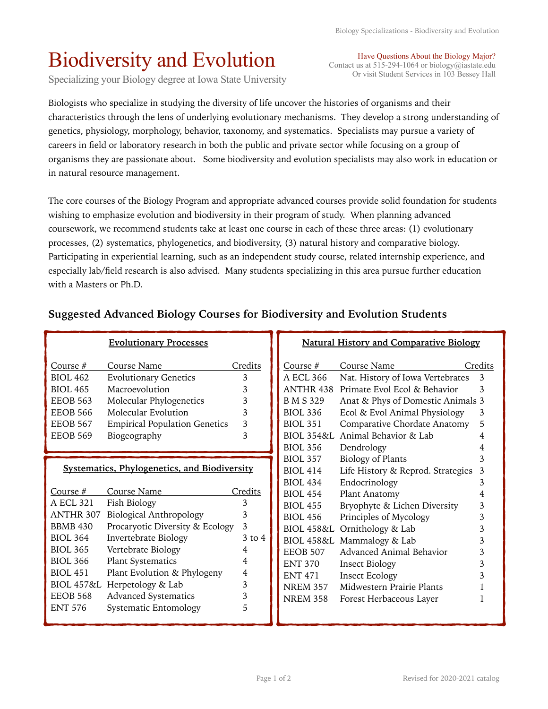## Biodiversity and Evolution

Specializing your Biology degree at Iowa State University

Biologists who specialize in studying the diversity of life uncover the histories of organisms and their characteristics through the lens of underlying evolutionary mechanisms. They develop a strong understanding of genetics, physiology, morphology, behavior, taxonomy, and systematics. Specialists may pursue a variety of careers in field or laboratory research in both the public and private sector while focusing on a group of organisms they are passionate about. Some biodiversity and evolution specialists may also work in education or in natural resource management.

The core courses of the Biology Program and appropriate advanced courses provide solid foundation for students wishing to emphasize evolution and biodiversity in their program of study. When planning advanced coursework, we recommend students take at least one course in each of these three areas: (1) evolutionary processes, (2) systematics, phylogenetics, and biodiversity, (3) natural history and comparative biology. Participating in experiential learning, such as an independent study course, related internship experience, and especially lab/field research is also advised. Many students specializing in this area pursue further education with a Masters or Ph.D.

## **Suggested Advanced Biology Courses for Biodiversity and Evolution Students**

|                                                     | <b>Evolutionary Processes</b>        |            | <b>Natural History and Comparative Biology</b> |                                   |         |
|-----------------------------------------------------|--------------------------------------|------------|------------------------------------------------|-----------------------------------|---------|
| Course $#$                                          | Course Name                          | Credits    | Course $#$                                     | Course Name                       | Credits |
| <b>BIOL 462</b>                                     | <b>Evolutionary Genetics</b>         | 3          | A ECL 366                                      | Nat. History of Iowa Vertebrates  | 3       |
| <b>BIOL 465</b>                                     | Macroevolution                       | 3          | ANTHR 438                                      | Primate Evol Ecol & Behavior      | 3       |
| <b>EEOB 563</b>                                     | Molecular Phylogenetics              | 3          | B M S 329                                      | Anat & Phys of Domestic Animals 3 |         |
| <b>EEOB 566</b>                                     | Molecular Evolution                  | 3          | <b>BIOL 336</b>                                | Ecol & Evol Animal Physiology     | 3       |
| <b>EEOB 567</b>                                     | <b>Empirical Population Genetics</b> | 3          | <b>BIOL 351</b>                                | Comparative Chordate Anatomy      | 5       |
| <b>EEOB 569</b>                                     | Biogeography                         | 3          |                                                | BIOL 354&L Animal Behavior & Lab  |         |
|                                                     |                                      |            | <b>BIOL 356</b>                                | Dendrology                        |         |
| <b>Systematics, Phylogenetics, and Biodiversity</b> |                                      |            | <b>BIOL 357</b>                                | Biology of Plants                 |         |
|                                                     |                                      |            | <b>BIOL 414</b>                                | Life History & Reprod. Strategies | 3       |
|                                                     |                                      |            | <b>BIOL 434</b>                                | Endocrinology                     | 3       |
| Course #                                            | Course Name                          | Credits    | <b>BIOL 454</b>                                | Plant Anatomy                     | 4       |
| A ECL 321                                           | Fish Biology                         | 3          | <b>BIOL 455</b>                                | Bryophyte & Lichen Diversity      | 3       |
| ANTHR 307                                           | <b>Biological Anthropology</b>       | 3          | <b>BIOL 456</b>                                | Principles of Mycology            | 3       |
| <b>BBMB 430</b>                                     | Procaryotic Diversity & Ecology      | 3          | <b>BIOL 458&amp;L</b>                          | Ornithology & Lab                 | 3       |
| <b>BIOL 364</b>                                     | Invertebrate Biology                 | $3$ to $4$ | <b>BIOL 458&amp;L</b>                          | Mammalogy & Lab                   |         |
| <b>BIOL 365</b>                                     | Vertebrate Biology                   | 4          | <b>EEOB 507</b>                                | Advanced Animal Behavior          | 3       |
| <b>BIOL 366</b>                                     | <b>Plant Systematics</b>             | 4          | <b>ENT 370</b>                                 | <b>Insect Biology</b>             | 3       |
| <b>BIOL 451</b>                                     | Plant Evolution & Phylogeny          | 4          | <b>ENT 471</b>                                 | <b>Insect Ecology</b>             |         |
|                                                     | BIOL 457&L Herpetology & Lab         | 3          | <b>NREM 357</b>                                | Midwestern Prairie Plants         |         |
| <b>EEOB 568</b>                                     | <b>Advanced Systematics</b>          | 3          | <b>NREM 358</b>                                | Forest Herbaceous Layer           |         |
| <b>ENT 576</b>                                      | Systematic Entomology                | 5          |                                                |                                   |         |

Have Questions About the Biology Major? Contact us at 515-294-1064 or biology@iastate.edu Or visit Student Services in 103 Bessey Hall